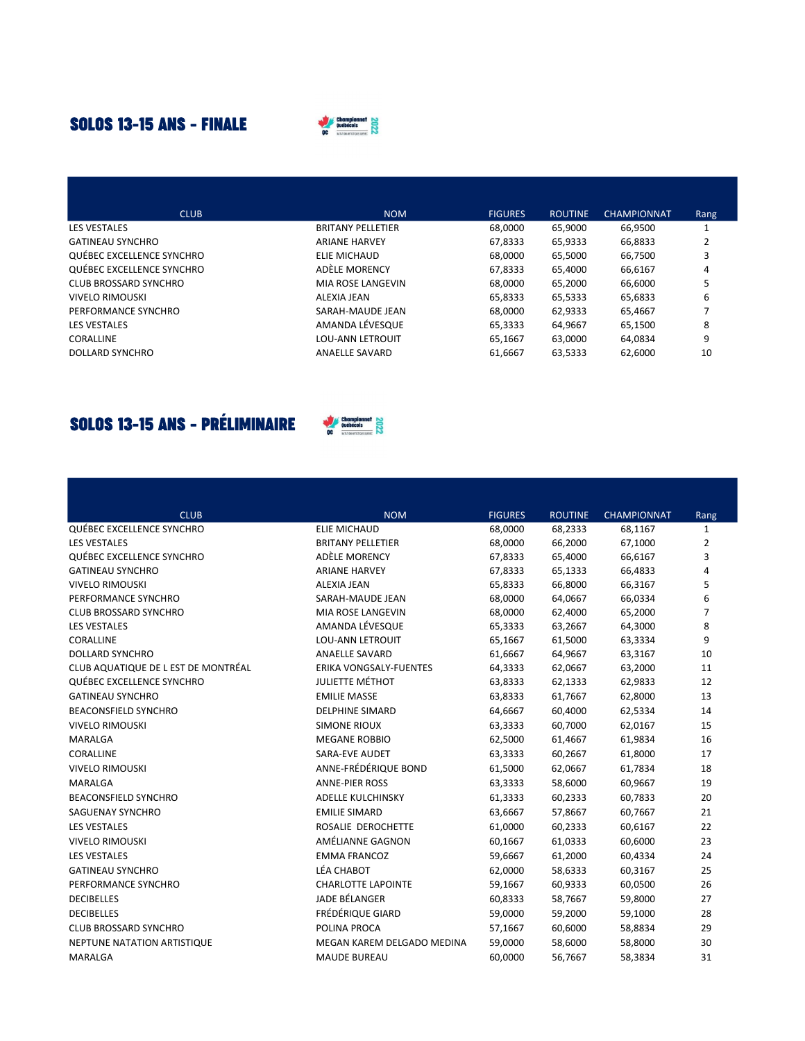## **SOLOS 13-15 ANS - FINALE**



| <b>CLUB</b>               | <b>NOM</b>               | <b>FIGURES</b> | <b>ROUTINE</b> | <b>CHAMPIONNAT</b> | Rang |
|---------------------------|--------------------------|----------------|----------------|--------------------|------|
| <b>LES VESTALES</b>       | <b>BRITANY PELLETIER</b> | 68,0000        | 65.9000        | 66,9500            |      |
| <b>GATINEAU SYNCHRO</b>   | <b>ARIANE HARVEY</b>     | 67,8333        | 65,9333        | 66,8833            |      |
| QUÉBEC EXCELLENCE SYNCHRO | ELIE MICHAUD             | 68.0000        | 65.5000        | 66.7500            | 3    |
| QUÉBEC EXCELLENCE SYNCHRO | ADÈLE MORENCY            | 67,8333        | 65.4000        | 66.6167            | 4    |
| CLUB BROSSARD SYNCHRO     | MIA ROSE LANGEVIN        | 68.0000        | 65.2000        | 66.6000            | 5    |
| VIVELO RIMOUSKI           | ALEXIA JEAN              | 65,8333        | 65.5333        | 65.6833            | 6    |
| PERFORMANCE SYNCHRO       | SARAH-MAUDE JEAN         | 68.0000        | 62.9333        | 65.4667            |      |
| LES VESTALES              | AMANDA LÉVESQUE          | 65,3333        | 64.9667        | 65.1500            | 8    |
| CORALLINE                 | <b>LOU-ANN LETROUIT</b>  | 65.1667        | 63.0000        | 64.0834            | 9    |
| DOLLARD SYNCHRO           | ANAELLE SAVARD           | 61.6667        | 63,5333        | 62,6000            | 10   |

## **SOLOS 13-15 ANS - PRÉLIMINAIRE**



| <b>CLUB</b><br><b>NOM</b><br><b>FIGURES</b><br><b>ROUTINE</b><br><b>CHAMPIONNAT</b><br>Rang<br>QUÉBEC EXCELLENCE SYNCHRO<br><b>ELIE MICHAUD</b><br>68,0000<br>68,2333<br>68,1167<br>1<br><b>LES VESTALES</b><br><b>BRITANY PELLETIER</b><br>66,2000<br>67,1000<br>$\overline{2}$<br>68,0000<br>QUÉBEC EXCELLENCE SYNCHRO<br>ADÈLE MORENCY<br>3<br>67,8333<br>65,4000<br>66,6167<br>65,1333<br>66,4833<br><b>GATINEAU SYNCHRO</b><br><b>ARIANE HARVEY</b><br>67,8333<br>4<br>66,8000<br>66,3167<br>5<br><b>VIVELO RIMOUSKI</b><br><b>ALEXIA JEAN</b><br>65,8333<br>6<br>68,0000<br>64,0667<br>66,0334<br>PERFORMANCE SYNCHRO<br>SARAH-MAUDE JEAN<br>$\overline{7}$<br>MIA ROSE LANGEVIN<br>68,0000<br>65,2000<br><b>CLUB BROSSARD SYNCHRO</b><br>62,4000<br>8<br>AMANDA LÉVESQUE<br><b>LES VESTALES</b><br>63,2667<br>64,3000<br>65,3333<br>9<br><b>LOU-ANN LETROUIT</b><br>CORALLINE<br>65,1667<br>61,5000<br>63,3334<br>64,9667<br>63,3167<br>10<br><b>DOLLARD SYNCHRO</b><br><b>ANAELLE SAVARD</b><br>61,6667<br>CLUB AQUATIQUE DE L EST DE MONTRÉAL<br><b>ERIKA VONGSALY-FUENTES</b><br>64,3333<br>62,0667<br>63,2000<br>11<br><b>JULIETTE MÉTHOT</b><br>QUÉBEC EXCELLENCE SYNCHRO<br>12<br>63,8333<br>62,1333<br>62,9833<br><b>GATINEAU SYNCHRO</b><br><b>EMILIE MASSE</b><br>61,7667<br>62,8000<br>13<br>63,8333<br><b>BEACONSFIELD SYNCHRO</b><br><b>DELPHINE SIMARD</b><br>64,6667<br>60,4000<br>62,5334<br>14<br>15<br><b>VIVELO RIMOUSKI</b><br><b>SIMONE RIOUX</b><br>63,3333<br>60,7000<br>62,0167<br>61,9834<br>16<br><b>MARALGA</b><br><b>MEGANE ROBBIO</b><br>62,5000<br>61,4667<br><b>SARA-EVE AUDET</b><br>61,8000<br>17<br>CORALLINE<br>63,3333<br>60,2667<br>ANNE-FRÉDÉRIQUE BOND<br>18<br><b>VIVELO RIMOUSKI</b><br>61,5000<br>62,0667<br>61,7834 |  |  |  |
|----------------------------------------------------------------------------------------------------------------------------------------------------------------------------------------------------------------------------------------------------------------------------------------------------------------------------------------------------------------------------------------------------------------------------------------------------------------------------------------------------------------------------------------------------------------------------------------------------------------------------------------------------------------------------------------------------------------------------------------------------------------------------------------------------------------------------------------------------------------------------------------------------------------------------------------------------------------------------------------------------------------------------------------------------------------------------------------------------------------------------------------------------------------------------------------------------------------------------------------------------------------------------------------------------------------------------------------------------------------------------------------------------------------------------------------------------------------------------------------------------------------------------------------------------------------------------------------------------------------------------------------------------------------------------------------------------------------------------------------------------------------------|--|--|--|
|                                                                                                                                                                                                                                                                                                                                                                                                                                                                                                                                                                                                                                                                                                                                                                                                                                                                                                                                                                                                                                                                                                                                                                                                                                                                                                                                                                                                                                                                                                                                                                                                                                                                                                                                                                      |  |  |  |
|                                                                                                                                                                                                                                                                                                                                                                                                                                                                                                                                                                                                                                                                                                                                                                                                                                                                                                                                                                                                                                                                                                                                                                                                                                                                                                                                                                                                                                                                                                                                                                                                                                                                                                                                                                      |  |  |  |
|                                                                                                                                                                                                                                                                                                                                                                                                                                                                                                                                                                                                                                                                                                                                                                                                                                                                                                                                                                                                                                                                                                                                                                                                                                                                                                                                                                                                                                                                                                                                                                                                                                                                                                                                                                      |  |  |  |
|                                                                                                                                                                                                                                                                                                                                                                                                                                                                                                                                                                                                                                                                                                                                                                                                                                                                                                                                                                                                                                                                                                                                                                                                                                                                                                                                                                                                                                                                                                                                                                                                                                                                                                                                                                      |  |  |  |
|                                                                                                                                                                                                                                                                                                                                                                                                                                                                                                                                                                                                                                                                                                                                                                                                                                                                                                                                                                                                                                                                                                                                                                                                                                                                                                                                                                                                                                                                                                                                                                                                                                                                                                                                                                      |  |  |  |
|                                                                                                                                                                                                                                                                                                                                                                                                                                                                                                                                                                                                                                                                                                                                                                                                                                                                                                                                                                                                                                                                                                                                                                                                                                                                                                                                                                                                                                                                                                                                                                                                                                                                                                                                                                      |  |  |  |
|                                                                                                                                                                                                                                                                                                                                                                                                                                                                                                                                                                                                                                                                                                                                                                                                                                                                                                                                                                                                                                                                                                                                                                                                                                                                                                                                                                                                                                                                                                                                                                                                                                                                                                                                                                      |  |  |  |
|                                                                                                                                                                                                                                                                                                                                                                                                                                                                                                                                                                                                                                                                                                                                                                                                                                                                                                                                                                                                                                                                                                                                                                                                                                                                                                                                                                                                                                                                                                                                                                                                                                                                                                                                                                      |  |  |  |
|                                                                                                                                                                                                                                                                                                                                                                                                                                                                                                                                                                                                                                                                                                                                                                                                                                                                                                                                                                                                                                                                                                                                                                                                                                                                                                                                                                                                                                                                                                                                                                                                                                                                                                                                                                      |  |  |  |
|                                                                                                                                                                                                                                                                                                                                                                                                                                                                                                                                                                                                                                                                                                                                                                                                                                                                                                                                                                                                                                                                                                                                                                                                                                                                                                                                                                                                                                                                                                                                                                                                                                                                                                                                                                      |  |  |  |
|                                                                                                                                                                                                                                                                                                                                                                                                                                                                                                                                                                                                                                                                                                                                                                                                                                                                                                                                                                                                                                                                                                                                                                                                                                                                                                                                                                                                                                                                                                                                                                                                                                                                                                                                                                      |  |  |  |
|                                                                                                                                                                                                                                                                                                                                                                                                                                                                                                                                                                                                                                                                                                                                                                                                                                                                                                                                                                                                                                                                                                                                                                                                                                                                                                                                                                                                                                                                                                                                                                                                                                                                                                                                                                      |  |  |  |
|                                                                                                                                                                                                                                                                                                                                                                                                                                                                                                                                                                                                                                                                                                                                                                                                                                                                                                                                                                                                                                                                                                                                                                                                                                                                                                                                                                                                                                                                                                                                                                                                                                                                                                                                                                      |  |  |  |
|                                                                                                                                                                                                                                                                                                                                                                                                                                                                                                                                                                                                                                                                                                                                                                                                                                                                                                                                                                                                                                                                                                                                                                                                                                                                                                                                                                                                                                                                                                                                                                                                                                                                                                                                                                      |  |  |  |
|                                                                                                                                                                                                                                                                                                                                                                                                                                                                                                                                                                                                                                                                                                                                                                                                                                                                                                                                                                                                                                                                                                                                                                                                                                                                                                                                                                                                                                                                                                                                                                                                                                                                                                                                                                      |  |  |  |
|                                                                                                                                                                                                                                                                                                                                                                                                                                                                                                                                                                                                                                                                                                                                                                                                                                                                                                                                                                                                                                                                                                                                                                                                                                                                                                                                                                                                                                                                                                                                                                                                                                                                                                                                                                      |  |  |  |
|                                                                                                                                                                                                                                                                                                                                                                                                                                                                                                                                                                                                                                                                                                                                                                                                                                                                                                                                                                                                                                                                                                                                                                                                                                                                                                                                                                                                                                                                                                                                                                                                                                                                                                                                                                      |  |  |  |
|                                                                                                                                                                                                                                                                                                                                                                                                                                                                                                                                                                                                                                                                                                                                                                                                                                                                                                                                                                                                                                                                                                                                                                                                                                                                                                                                                                                                                                                                                                                                                                                                                                                                                                                                                                      |  |  |  |
|                                                                                                                                                                                                                                                                                                                                                                                                                                                                                                                                                                                                                                                                                                                                                                                                                                                                                                                                                                                                                                                                                                                                                                                                                                                                                                                                                                                                                                                                                                                                                                                                                                                                                                                                                                      |  |  |  |
| 19<br><b>MARALGA</b><br><b>ANNE-PIER ROSS</b><br>63,3333<br>58,6000<br>60,9667                                                                                                                                                                                                                                                                                                                                                                                                                                                                                                                                                                                                                                                                                                                                                                                                                                                                                                                                                                                                                                                                                                                                                                                                                                                                                                                                                                                                                                                                                                                                                                                                                                                                                       |  |  |  |
| <b>BEACONSFIELD SYNCHRO</b><br><b>ADELLE KULCHINSKY</b><br>61,3333<br>60.2333<br>60.7833<br>20                                                                                                                                                                                                                                                                                                                                                                                                                                                                                                                                                                                                                                                                                                                                                                                                                                                                                                                                                                                                                                                                                                                                                                                                                                                                                                                                                                                                                                                                                                                                                                                                                                                                       |  |  |  |
| 21<br><b>SAGUENAY SYNCHRO</b><br><b>EMILIE SIMARD</b><br>63,6667<br>57,8667<br>60,7667                                                                                                                                                                                                                                                                                                                                                                                                                                                                                                                                                                                                                                                                                                                                                                                                                                                                                                                                                                                                                                                                                                                                                                                                                                                                                                                                                                                                                                                                                                                                                                                                                                                                               |  |  |  |
| <b>LES VESTALES</b><br>ROSALIE DEROCHETTE<br>60,6167<br>22<br>61,0000<br>60,2333                                                                                                                                                                                                                                                                                                                                                                                                                                                                                                                                                                                                                                                                                                                                                                                                                                                                                                                                                                                                                                                                                                                                                                                                                                                                                                                                                                                                                                                                                                                                                                                                                                                                                     |  |  |  |
| AMÉLIANNE GAGNON<br><b>VIVELO RIMOUSKI</b><br>61,0333<br>60,6000<br>23<br>60,1667                                                                                                                                                                                                                                                                                                                                                                                                                                                                                                                                                                                                                                                                                                                                                                                                                                                                                                                                                                                                                                                                                                                                                                                                                                                                                                                                                                                                                                                                                                                                                                                                                                                                                    |  |  |  |
| <b>LES VESTALES</b><br><b>EMMA FRANCOZ</b><br>61,2000<br>60,4334<br>24<br>59,6667                                                                                                                                                                                                                                                                                                                                                                                                                                                                                                                                                                                                                                                                                                                                                                                                                                                                                                                                                                                                                                                                                                                                                                                                                                                                                                                                                                                                                                                                                                                                                                                                                                                                                    |  |  |  |
| <b>LÉA CHABOT</b><br>25<br><b>GATINEAU SYNCHRO</b><br>62,0000<br>58,6333<br>60,3167                                                                                                                                                                                                                                                                                                                                                                                                                                                                                                                                                                                                                                                                                                                                                                                                                                                                                                                                                                                                                                                                                                                                                                                                                                                                                                                                                                                                                                                                                                                                                                                                                                                                                  |  |  |  |
| <b>CHARLOTTE LAPOINTE</b><br>26<br>PERFORMANCE SYNCHRO<br>59,1667<br>60,9333<br>60,0500                                                                                                                                                                                                                                                                                                                                                                                                                                                                                                                                                                                                                                                                                                                                                                                                                                                                                                                                                                                                                                                                                                                                                                                                                                                                                                                                                                                                                                                                                                                                                                                                                                                                              |  |  |  |
| <b>JADE BÉLANGER</b><br>58,7667<br>27<br><b>DECIBELLES</b><br>60,8333<br>59,8000                                                                                                                                                                                                                                                                                                                                                                                                                                                                                                                                                                                                                                                                                                                                                                                                                                                                                                                                                                                                                                                                                                                                                                                                                                                                                                                                                                                                                                                                                                                                                                                                                                                                                     |  |  |  |
| FRÉDÉRIQUE GIARD<br><b>DECIBELLES</b><br>28<br>59,0000<br>59,2000<br>59,1000                                                                                                                                                                                                                                                                                                                                                                                                                                                                                                                                                                                                                                                                                                                                                                                                                                                                                                                                                                                                                                                                                                                                                                                                                                                                                                                                                                                                                                                                                                                                                                                                                                                                                         |  |  |  |
| <b>CLUB BROSSARD SYNCHRO</b><br>POLINA PROCA<br>60,6000<br>58,8834<br>29<br>57,1667                                                                                                                                                                                                                                                                                                                                                                                                                                                                                                                                                                                                                                                                                                                                                                                                                                                                                                                                                                                                                                                                                                                                                                                                                                                                                                                                                                                                                                                                                                                                                                                                                                                                                  |  |  |  |
| NEPTUNE NATATION ARTISTIQUE<br>MEGAN KAREM DELGADO MEDINA<br>58,6000<br>58,8000<br>30<br>59,0000                                                                                                                                                                                                                                                                                                                                                                                                                                                                                                                                                                                                                                                                                                                                                                                                                                                                                                                                                                                                                                                                                                                                                                                                                                                                                                                                                                                                                                                                                                                                                                                                                                                                     |  |  |  |
| <b>MAUDE BUREAU</b><br>60,0000<br>56,7667<br>58,3834<br>31<br>MARALGA                                                                                                                                                                                                                                                                                                                                                                                                                                                                                                                                                                                                                                                                                                                                                                                                                                                                                                                                                                                                                                                                                                                                                                                                                                                                                                                                                                                                                                                                                                                                                                                                                                                                                                |  |  |  |